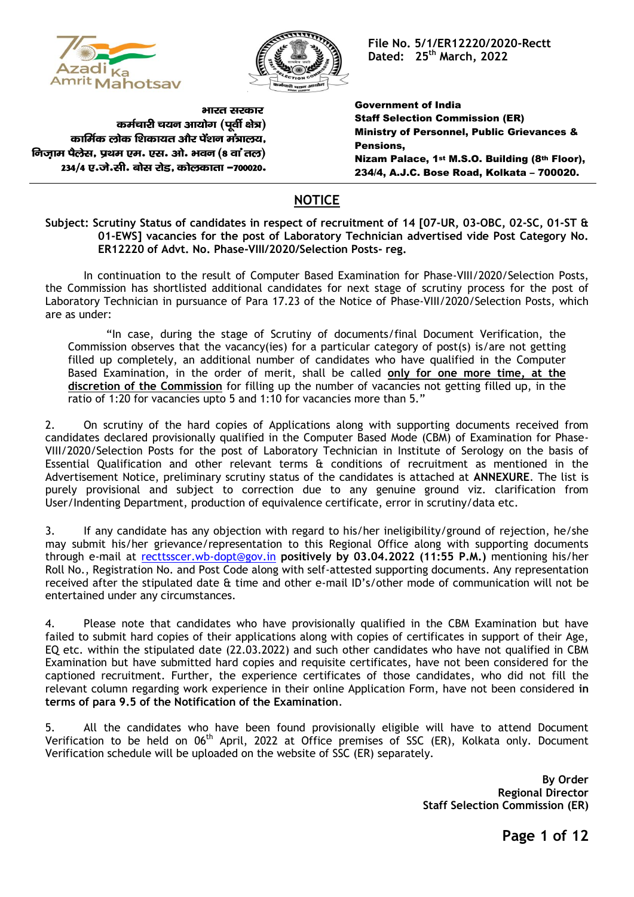



**File No. 5/1/ER12220/2020-Rectt Dated: 25 th March, 2022**

भारत सरकार कर्मचारी चयन आयोग (पर्वी क्षेत्र) कार्मिक लोक शिकायत और पेंशन मंत्रालय. निजाम पैलेस, प्रथम एम. एस. ओ. भवन (8 वां तल) 234/4 ए.जे.सी. बोस रोड, कोलकाता -700020.

Government of India Staff Selection Commission (ER) Ministry of Personnel, Public Grievances & Pensions, Nizam Palace, 1st M.S.O. Building (8th Floor), 234/4, A.J.C. Bose Road, Kolkata – 700020.

## **NOTICE**

## **Subject: Scrutiny Status of candidates in respect of recruitment of 14 [07-UR, 03-OBC, 02-SC, 01-ST & 01-EWS] vacancies for the post of Laboratory Technician advertised vide Post Category No. ER12220 of Advt. No. Phase-VIII/2020/Selection Posts- reg.**

In continuation to the result of Computer Based Examination for Phase-VIII/2020/Selection Posts, the Commission has shortlisted additional candidates for next stage of scrutiny process for the post of Laboratory Technician in pursuance of Para 17.23 of the Notice of Phase-VIII/2020/Selection Posts, which are as under:

"In case, during the stage of Scrutiny of documents/final Document Verification, the Commission observes that the vacancy(ies) for a particular category of post(s) is/are not getting filled up completely, an additional number of candidates who have qualified in the Computer Based Examination, in the order of merit, shall be called **only for one more time, at the discretion of the Commission** for filling up the number of vacancies not getting filled up, in the ratio of 1:20 for vacancies upto 5 and 1:10 for vacancies more than 5."

2. On scrutiny of the hard copies of Applications along with supporting documents received from candidates declared provisionally qualified in the Computer Based Mode (CBM) of Examination for Phase-VIII/2020/Selection Posts for the post of Laboratory Technician in Institute of Serology on the basis of Essential Qualification and other relevant terms & conditions of recruitment as mentioned in the Advertisement Notice, preliminary scrutiny status of the candidates is attached at **ANNEXURE**. The list is purely provisional and subject to correction due to any genuine ground viz. clarification from User/Indenting Department, production of equivalence certificate, error in scrutiny/data etc.

3. If any candidate has any objection with regard to his/her ineligibility/ground of rejection, he/she may submit his/her grievance/representation to this Regional Office along with supporting documents through e-mail at [recttsscer.wb-dopt@gov.in](mailto:recttsscer.wb-dopt@gov.in) **positively by 03.04.2022 (11:55 P.M.)** mentioning his/her Roll No., Registration No. and Post Code along with self-attested supporting documents. Any representation received after the stipulated date & time and other e-mail ID's/other mode of communication will not be entertained under any circumstances.

4. Please note that candidates who have provisionally qualified in the CBM Examination but have failed to submit hard copies of their applications along with copies of certificates in support of their Age, EQ etc. within the stipulated date (22.03.2022) and such other candidates who have not qualified in CBM Examination but have submitted hard copies and requisite certificates, have not been considered for the captioned recruitment. Further, the experience certificates of those candidates, who did not fill the relevant column regarding work experience in their online Application Form, have not been considered **in terms of para 9.5 of the Notification of the Examination**.

5. All the candidates who have been found provisionally eligible will have to attend Document Verification to be held on 06<sup>th</sup> April, 2022 at Office premises of SSC (ER), Kolkata only. Document Verification schedule will be uploaded on the website of SSC (ER) separately.

> **By Order Regional Director Staff Selection Commission (ER)**

> > **Page 1 of 12**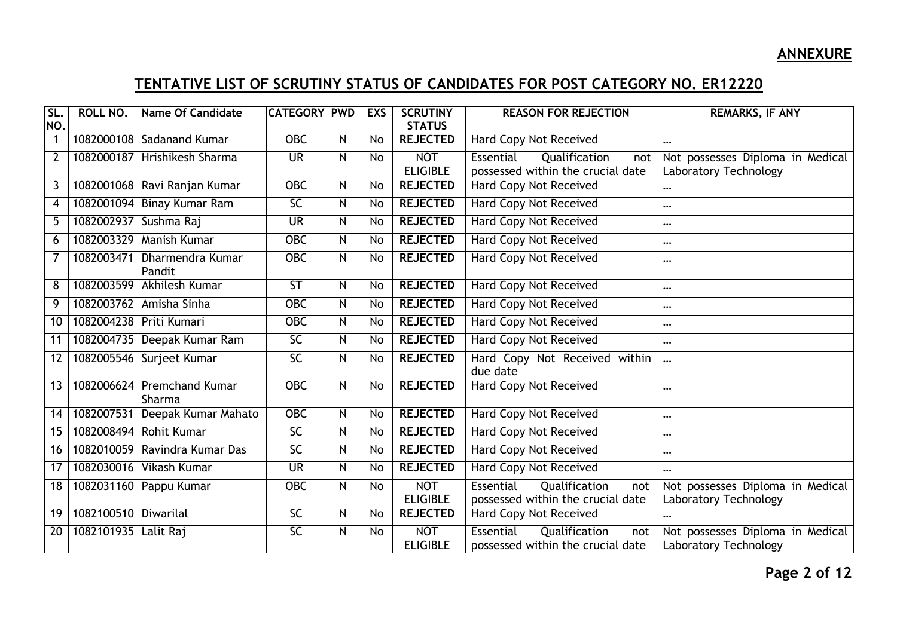## **ANNEXURE**

## **TENTATIVE LIST OF SCRUTINY STATUS OF CANDIDATES FOR POST CATEGORY NO. ER12220**

| SL.            | ROLL NO.   | <b>Name Of Candidate</b>         | <b>CATEGORY PWD</b> |              | <b>EXS</b> | <b>SCRUTINY</b> | <b>REASON FOR REJECTION</b>               | <b>REMARKS, IF ANY</b>           |
|----------------|------------|----------------------------------|---------------------|--------------|------------|-----------------|-------------------------------------------|----------------------------------|
| NO.            |            |                                  |                     |              |            | <b>STATUS</b>   |                                           |                                  |
| 1              | 1082000108 | <b>Sadanand Kumar</b>            | <b>OBC</b>          | N            | No         | <b>REJECTED</b> | <b>Hard Copy Not Received</b>             | $\cdots$                         |
| $\overline{2}$ | 1082000187 | Hrishikesh Sharma                | <b>UR</b>           | $\mathsf{N}$ | <b>No</b>  | <b>NOT</b>      | Essential<br>Qualification<br>not         | Not possesses Diploma in Medical |
|                |            |                                  |                     |              |            | <b>ELIGIBLE</b> | possessed within the crucial date         | Laboratory Technology            |
| 3              | 1082001068 | Ravi Ranjan Kumar                | <b>OBC</b>          | N            | No         | <b>REJECTED</b> | Hard Copy Not Received                    | $\cdots$                         |
| $\overline{4}$ | 1082001094 | <b>Binay Kumar Ram</b>           | $\overline{SC}$     | N            | No         | <b>REJECTED</b> | Hard Copy Not Received                    | $\cdots$                         |
| 5              | 1082002937 | Sushma Raj                       | <b>UR</b>           | N            | No         | <b>REJECTED</b> | Hard Copy Not Received                    | $\cdots$                         |
| 6              | 1082003329 | <b>Manish Kumar</b>              | <b>OBC</b>          | $\mathsf{N}$ | No         | <b>REJECTED</b> | <b>Hard Copy Not Received</b>             | $\cdots$                         |
| $\overline{7}$ | 1082003471 | Dharmendra Kumar<br>Pandit       | <b>OBC</b>          | N            | No         | <b>REJECTED</b> | <b>Hard Copy Not Received</b>             | $\cdots$                         |
| 8              | 1082003599 | Akhilesh Kumar                   | ST                  | $\mathsf{N}$ | No         | <b>REJECTED</b> | <b>Hard Copy Not Received</b>             | $\cdots$                         |
| 9              | 1082003762 | Amisha Sinha                     | <b>OBC</b>          | N            | No         | <b>REJECTED</b> | <b>Hard Copy Not Received</b>             | $\cdots$                         |
| 10             | 1082004238 | Priti Kumari                     | <b>OBC</b>          | $\mathsf{N}$ | No         | <b>REJECTED</b> | Hard Copy Not Received                    | $\cdots$                         |
| 11             | 1082004735 | Deepak Kumar Ram                 | SC                  | N            | No         | <b>REJECTED</b> | <b>Hard Copy Not Received</b>             | $\cdots$                         |
| 12             | 1082005546 | Surjeet Kumar                    | SC                  | N            | No         | <b>REJECTED</b> | Hard Copy Not Received within<br>due date | $\cdots$                         |
| 13             | 1082006624 | <b>Premchand Kumar</b><br>Sharma | $OE$                | N            | No         | <b>REJECTED</b> | Hard Copy Not Received                    | $\cdots$                         |
| 14             | 1082007531 | Deepak Kumar Mahato              | $OE$                | $\mathsf{N}$ | No         | <b>REJECTED</b> | Hard Copy Not Received                    | $\cdots$                         |
| 15             | 1082008494 | <b>Rohit Kumar</b>               | $\overline{SC}$     | $\mathsf{N}$ | No         | <b>REJECTED</b> | <b>Hard Copy Not Received</b>             | $\cdots$                         |
| 16             | 1082010059 | Ravindra Kumar Das               | SC                  | $\mathsf{N}$ | No         | <b>REJECTED</b> | <b>Hard Copy Not Received</b>             | $\cdots$                         |
| 17             | 1082030016 | Vikash Kumar                     | <b>UR</b>           | $\mathsf{N}$ | No         | <b>REJECTED</b> | <b>Hard Copy Not Received</b>             | $\cdots$                         |
| 18             | 1082031160 | Pappu Kumar                      | <b>OBC</b>          | $\mathsf{N}$ | No         | <b>NOT</b>      | Essential<br>Qualification<br>not         | Not possesses Diploma in Medical |
|                |            |                                  |                     |              |            | <b>ELIGIBLE</b> | possessed within the crucial date         | Laboratory Technology            |
| 19             | 1082100510 | Diwarilal                        | SC                  | N            | No         | <b>REJECTED</b> | Hard Copy Not Received                    |                                  |
| 20             | 1082101935 | Lalit Raj                        | <b>SC</b>           | N            | No         | <b>NOT</b>      | Essential<br>Qualification<br>not         | Not possesses Diploma in Medical |
|                |            |                                  |                     |              |            | <b>ELIGIBLE</b> | possessed within the crucial date         | Laboratory Technology            |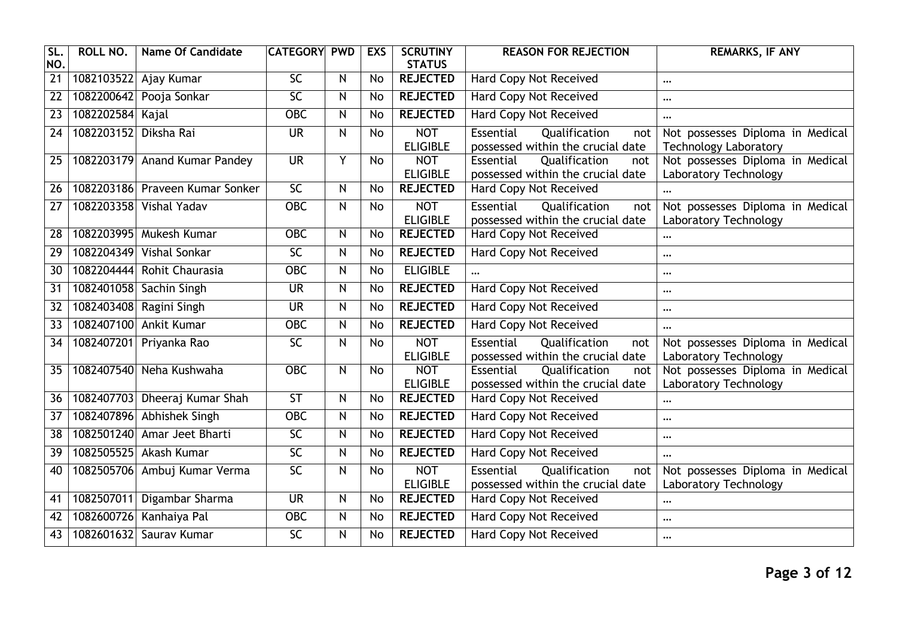| SL.<br>NO.      | <b>ROLL NO.</b> | <b>Name Of Candidate</b>        | <b>CATEGORY</b>          | <b>PWD</b>   | <b>EXS</b>      | <b>SCRUTINY</b><br><b>STATUS</b> | <b>REASON FOR REJECTION</b>                                                   | <b>REMARKS, IF ANY</b>                                           |
|-----------------|-----------------|---------------------------------|--------------------------|--------------|-----------------|----------------------------------|-------------------------------------------------------------------------------|------------------------------------------------------------------|
| $\overline{21}$ | 1082103522      | Ajay Kumar                      | 5 <sub>C</sub>           | N            | <b>No</b>       | <b>REJECTED</b>                  | <b>Hard Copy Not Received</b>                                                 | $\cdots$                                                         |
| $\overline{22}$ | 1082200642      | Pooja Sonkar                    | $\overline{SC}$          | N            | <b>No</b>       | <b>REJECTED</b>                  | <b>Hard Copy Not Received</b>                                                 | $\cdots$                                                         |
| $\overline{23}$ | 1082202584      | Kajal                           | <b>OBC</b>               | N            | <b>No</b>       | <b>REJECTED</b>                  | <b>Hard Copy Not Received</b>                                                 | $\cdots$                                                         |
| $\overline{24}$ | 1082203152      | Diksha Rai                      | <b>UR</b>                | Ν            | $\overline{No}$ | <b>NOT</b><br><b>ELIGIBLE</b>    | Essential<br>Qualification<br>not<br>possessed within the crucial date        | Not possesses Diploma in Medical<br><b>Technology Laboratory</b> |
| 25              |                 | 1082203179 Anand Kumar Pandey   | <b>UR</b>                | Y            | <b>No</b>       | <b>NOT</b><br><b>ELIGIBLE</b>    | Qualification<br>Essential<br>not<br>possessed within the crucial date        | Not possesses Diploma in Medical<br>Laboratory Technology        |
| $\overline{26}$ |                 | 1082203186 Praveen Kumar Sonker | $\overline{SC}$          | N            | <b>No</b>       | <b>REJECTED</b>                  | <b>Hard Copy Not Received</b>                                                 | $\cdots$                                                         |
| $\overline{27}$ | 1082203358      | <b>Vishal Yadav</b>             | <b>OBC</b>               | $\mathsf{N}$ | No              | <b>NOT</b><br><b>ELIGIBLE</b>    | Essential<br>Qualification<br>not<br>possessed within the crucial date        | Not possesses Diploma in Medical<br>Laboratory Technology        |
| $\overline{28}$ | 1082203995      | Mukesh Kumar                    | <b>OBC</b>               | N            | No              | <b>REJECTED</b>                  | <b>Hard Copy Not Received</b>                                                 |                                                                  |
| 29              | 1082204349      | Vishal Sonkar                   | $\overline{SC}$          | N            | <b>No</b>       | <b>REJECTED</b>                  | Hard Copy Not Received                                                        |                                                                  |
| 30              | 1082204444      | Rohit Chaurasia                 | $\overline{OBC}$         | N            | <b>No</b>       | <b>ELIGIBLE</b>                  |                                                                               | $\cdots$                                                         |
| $\overline{31}$ |                 | 1082401058 Sachin Singh         | $\overline{\mathsf{UR}}$ | N            | No              | <b>REJECTED</b>                  | <b>Hard Copy Not Received</b>                                                 | $\cdots$                                                         |
| 32              | 1082403408      | Ragini Singh                    | <b>UR</b>                | ${\sf N}$    | No              | <b>REJECTED</b>                  | Hard Copy Not Received                                                        | $\cdots$                                                         |
| 33              | 1082407100      | <b>Ankit Kumar</b>              | <b>OBC</b>               | $\mathsf{N}$ | <b>No</b>       | <b>REJECTED</b>                  | Hard Copy Not Received                                                        | $\cdots$                                                         |
| $\overline{34}$ |                 | 1082407201 Priyanka Rao         | $\overline{SC}$          | N            | <b>No</b>       | <b>NOT</b><br><b>ELIGIBLE</b>    | Essential<br>Qualification<br>not<br>possessed within the crucial date        | Not possesses Diploma in Medical<br>Laboratory Technology        |
| $\overline{35}$ |                 | 1082407540 Neha Kushwaha        | $OE$                     | N            | <b>No</b>       | <b>NOT</b><br><b>ELIGIBLE</b>    | Essential<br>Qualification<br>not<br>possessed within the crucial date        | Not possesses Diploma in Medical<br>Laboratory Technology        |
| 36              |                 | 1082407703 Dheeraj Kumar Shah   | ST                       | N            | <b>No</b>       | <b>REJECTED</b>                  | Hard Copy Not Received                                                        | $\cdots$                                                         |
| 37              | 1082407896      | <b>Abhishek Singh</b>           | <b>OBC</b>               | N            | <b>No</b>       | <b>REJECTED</b>                  | Hard Copy Not Received                                                        |                                                                  |
| 38              | 1082501240      | Amar Jeet Bharti                | $\overline{SC}$          | N            | No              | <b>REJECTED</b>                  | Hard Copy Not Received                                                        | $\cdots$                                                         |
| 39              | 1082505525      | Akash Kumar                     | SC                       | N            | <b>No</b>       | <b>REJECTED</b>                  | <b>Hard Copy Not Received</b>                                                 | $\cdots$                                                         |
| 40              | 1082505706      | Ambuj Kumar Verma               | $\overline{SC}$          | N            | <b>No</b>       | <b>NOT</b><br><b>ELIGIBLE</b>    | <b>Essential</b><br>Qualification<br>not<br>possessed within the crucial date | Not possesses Diploma in Medical<br>Laboratory Technology        |
| $\overline{41}$ | 1082507011      | Digambar Sharma                 | $\overline{\mathsf{UR}}$ | N            | No              | <b>REJECTED</b>                  | <b>Hard Copy Not Received</b>                                                 | $\cdots$                                                         |
| 42              | 1082600726      | Kanhaiya Pal                    | <b>OBC</b>               | N            | No              | <b>REJECTED</b>                  | <b>Hard Copy Not Received</b>                                                 | $\cdots$                                                         |
| 43              | 1082601632      | Saurav Kumar                    | $\overline{SC}$          | Ν            | No              | <b>REJECTED</b>                  | <b>Hard Copy Not Received</b>                                                 | $\cdots$                                                         |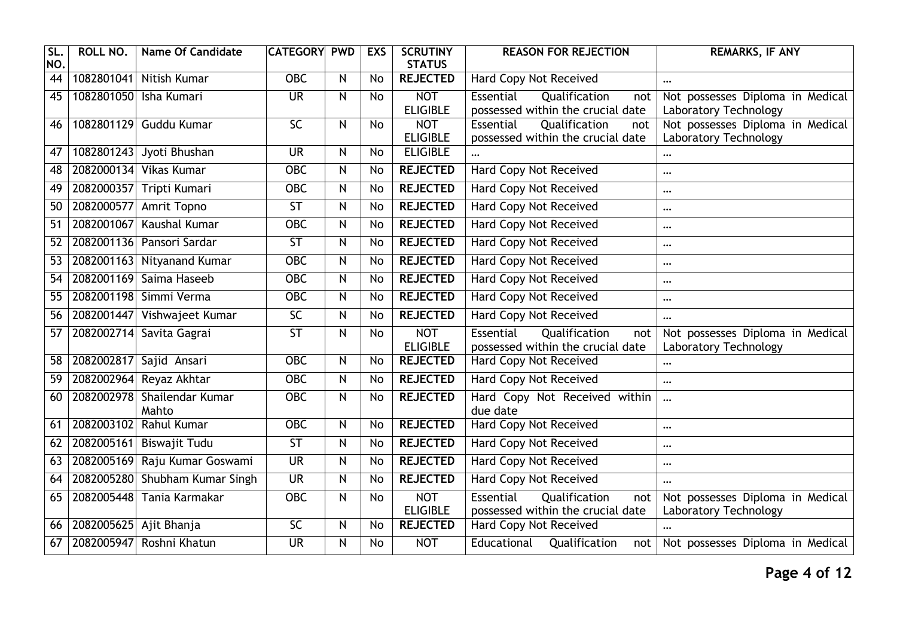| SL.<br>NO.      | ROLL NO.               | <b>Name Of Candidate</b>             | <b>CATEGORY</b>          | <b>PWD</b>              | <b>EXS</b> | <b>SCRUTINY</b><br><b>STATUS</b> | <b>REASON FOR REJECTION</b>                                            | REMARKS, IF ANY                                           |
|-----------------|------------------------|--------------------------------------|--------------------------|-------------------------|------------|----------------------------------|------------------------------------------------------------------------|-----------------------------------------------------------|
| $\overline{44}$ |                        | 1082801041 Nitish Kumar              | <b>OBC</b>               | $\overline{\mathsf{N}}$ | <b>No</b>  | <b>REJECTED</b>                  | <b>Hard Copy Not Received</b>                                          | $\ddotsc$                                                 |
| 45              |                        | 1082801050 Isha Kumari               | <b>UR</b>                | ${\sf N}$               | <b>No</b>  | <b>NOT</b><br><b>ELIGIBLE</b>    | Essential<br>Qualification<br>not<br>possessed within the crucial date | Not possesses Diploma in Medical<br>Laboratory Technology |
| 46              |                        | 1082801129 Guddu Kumar               | 5 <sub>C</sub>           | N                       | <b>No</b>  | <b>NOT</b>                       | Essential<br>Qualification<br>not                                      | Not possesses Diploma in Medical                          |
|                 |                        |                                      |                          |                         |            | <b>ELIGIBLE</b>                  | possessed within the crucial date                                      | Laboratory Technology                                     |
| 47              |                        | 1082801243 Jyoti Bhushan             | <b>UR</b>                | N                       | No         | <b>ELIGIBLE</b>                  |                                                                        | $\cdots$                                                  |
| 48              |                        | 2082000134 Vikas Kumar               | <b>OBC</b>               | $\mathsf{N}$            | <b>No</b>  | <b>REJECTED</b>                  | <b>Hard Copy Not Received</b>                                          | $\cdots$                                                  |
| 49              |                        | 2082000357 Tripti Kumari             | <b>OBC</b>               | N                       | No         | <b>REJECTED</b>                  | <b>Hard Copy Not Received</b>                                          | $\cdots$                                                  |
| 50              | 2082000577             | Amrit Topno                          | $\overline{\mathsf{ST}}$ | $\mathsf{N}$            | No         | <b>REJECTED</b>                  | <b>Hard Copy Not Received</b>                                          | $\cdots$                                                  |
| 51              | 2082001067             | Kaushal Kumar                        | $\overline{OBC}$         | N                       | <b>No</b>  | <b>REJECTED</b>                  | <b>Hard Copy Not Received</b>                                          | $\cdots$                                                  |
| 52              |                        | 2082001136 Pansori Sardar            | $\overline{\mathsf{ST}}$ | N                       | No         | <b>REJECTED</b>                  | <b>Hard Copy Not Received</b>                                          | $\cdots$                                                  |
| 53              |                        | 2082001163 Nityanand Kumar           | $OE$                     | $\overline{N}$          | <b>No</b>  | <b>REJECTED</b>                  | <b>Hard Copy Not Received</b>                                          | $\cdots$                                                  |
| 54              |                        | 2082001169 Saima Haseeb              | <b>OBC</b>               | ${\sf N}$               | No         | <b>REJECTED</b>                  | <b>Hard Copy Not Received</b>                                          | $\cdots$                                                  |
| 55              |                        | 2082001198 Simmi Verma               | <b>OBC</b>               | $\mathsf{N}$            | No         | <b>REJECTED</b>                  | <b>Hard Copy Not Received</b>                                          | $\cdots$                                                  |
| 56              | 2082001447             | Vishwajeet Kumar                     | $\overline{SC}$          | N                       | <b>No</b>  | <b>REJECTED</b>                  | Hard Copy Not Received                                                 | $\cdots$                                                  |
| 57              |                        | 2082002714 Savita Gagrai             | $\overline{\mathsf{ST}}$ | N                       | No         | <b>NOT</b><br><b>ELIGIBLE</b>    | Essential<br>Qualification<br>not<br>possessed within the crucial date | Not possesses Diploma in Medical<br>Laboratory Technology |
| 58              |                        | 2082002817 Sajid Ansari              | <b>OBC</b>               | N                       | <b>No</b>  | <b>REJECTED</b>                  | <b>Hard Copy Not Received</b>                                          |                                                           |
| 59              | 2082002964             | Reyaz Akhtar                         | <b>OBC</b>               | N                       | <b>No</b>  | <b>REJECTED</b>                  | Hard Copy Not Received                                                 | $\ddotsc$                                                 |
| 60              |                        | 2082002978 Shailendar Kumar<br>Mahto | <b>OBC</b>               | N                       | No         | <b>REJECTED</b>                  | Hard Copy Not Received within<br>due date                              | $\ddotsc$                                                 |
| 61              | 2082003102             | <b>Rahul Kumar</b>                   | <b>OBC</b>               | $\mathsf{N}$            | <b>No</b>  | <b>REJECTED</b>                  | <b>Hard Copy Not Received</b>                                          | $\cdots$                                                  |
| 62              |                        | 2082005161 Biswajit Tudu             | $\overline{\mathsf{ST}}$ | N                       | <b>No</b>  | <b>REJECTED</b>                  | Hard Copy Not Received                                                 | $\cdots$                                                  |
| 63              | 2082005169             | Raju Kumar Goswami                   | <b>UR</b>                | $\mathsf{N}$            | No         | <b>REJECTED</b>                  | <b>Hard Copy Not Received</b>                                          | $\cdots$                                                  |
| 64              |                        | 2082005280 Shubham Kumar Singh       | $\overline{\mathsf{UR}}$ | $\overline{N}$          | <b>No</b>  | <b>REJECTED</b>                  | <b>Hard Copy Not Received</b>                                          | $\cdots$                                                  |
| 65              |                        | 2082005448 Tania Karmakar            | <b>OBC</b>               | N                       | <b>No</b>  | <b>NOT</b>                       | Essential<br>Qualification<br>not                                      | Not possesses Diploma in Medical                          |
|                 |                        |                                      |                          |                         |            | <b>ELIGIBLE</b>                  | possessed within the crucial date                                      | Laboratory Technology                                     |
| 66              | 2082005625 Ajit Bhanja |                                      | $\overline{SC}$          | ${\sf N}$               | No         | <b>REJECTED</b>                  | <b>Hard Copy Not Received</b>                                          |                                                           |
| 67              |                        | 2082005947 Roshni Khatun             | <b>UR</b>                | N                       | No         | <b>NOT</b>                       | Educational<br>Qualification<br>not                                    | Not possesses Diploma in Medical                          |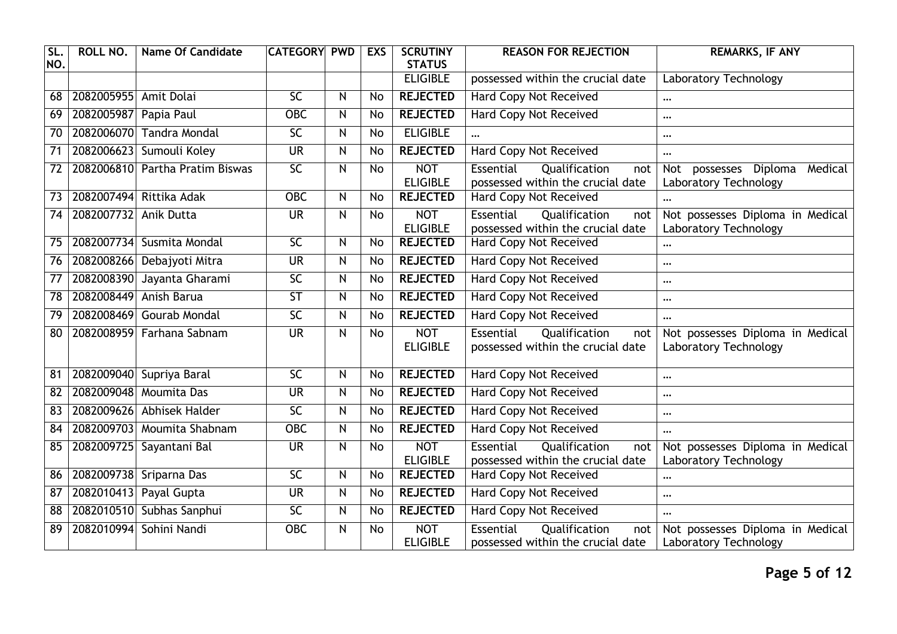| <b>SL</b><br>NO. | ROLL NO.   | <b>Name Of Candidate</b>   | <b>CATEGORY</b>          | <b>PWD</b>     | <b>EXS</b>     | <b>SCRUTINY</b><br><b>STATUS</b> | <b>REASON FOR REJECTION</b>                                            | <b>REMARKS, IF ANY</b>                                       |
|------------------|------------|----------------------------|--------------------------|----------------|----------------|----------------------------------|------------------------------------------------------------------------|--------------------------------------------------------------|
|                  |            |                            |                          |                |                | <b>ELIGIBLE</b>                  | possessed within the crucial date                                      | Laboratory Technology                                        |
| 68               | 2082005955 | Amit Dolai                 | $\overline{SC}$          | $\mathsf{N}$   | No             | <b>REJECTED</b>                  | <b>Hard Copy Not Received</b>                                          | $\cdots$                                                     |
| 69               | 2082005987 | Papia Paul                 | $\overline{OBC}$         | $\mathsf{N}$   | No             | <b>REJECTED</b>                  | <b>Hard Copy Not Received</b>                                          | $\ddotsc$                                                    |
| 70               | 2082006070 | <b>Tandra Mondal</b>       | $\overline{SC}$          | N              | No             | <b>ELIGIBLE</b>                  |                                                                        | $\cdots$                                                     |
| $\overline{71}$  | 2082006623 | Sumouli Koley              | <b>UR</b>                | $\mathsf{N}$   | <b>No</b>      | <b>REJECTED</b>                  | Hard Copy Not Received                                                 | $\cdots$                                                     |
| 72               | 2082006810 | Partha Pratim Biswas       | $\overline{SC}$          | $\mathsf{N}$   | <b>No</b>      | <b>NOT</b><br><b>ELIGIBLE</b>    | Essential<br>Qualification<br>not<br>possessed within the crucial date | possesses Diploma<br>Medical<br>Not<br>Laboratory Technology |
| $\overline{73}$  | 2082007494 | Rittika Adak               | <b>OBC</b>               | $\overline{N}$ | $\overline{N}$ | <b>REJECTED</b>                  | <b>Hard Copy Not Received</b>                                          |                                                              |
| 74               | 2082007732 | Anik Dutta                 | <b>UR</b>                | $\mathsf{N}$   | <b>No</b>      | <b>NOT</b><br><b>ELIGIBLE</b>    | Essential<br>Qualification<br>not<br>possessed within the crucial date | Not possesses Diploma in Medical<br>Laboratory Technology    |
| 75               | 2082007734 | Susmita Mondal             | $\overline{SC}$          | $\mathsf{N}$   | No             | <b>REJECTED</b>                  | <b>Hard Copy Not Received</b>                                          | $\cdots$                                                     |
| 76               | 2082008266 | Debajyoti Mitra            | $\overline{\mathsf{UR}}$ | $\mathsf{N}$   | <b>No</b>      | <b>REJECTED</b>                  | Hard Copy Not Received                                                 | $\cdots$                                                     |
| 77               | 2082008390 | Jayanta Gharami            | $\overline{SC}$          | $\mathsf{N}$   | No             | <b>REJECTED</b>                  | <b>Hard Copy Not Received</b>                                          | $\cdots$                                                     |
| 78               | 2082008449 | Anish Barua                | $\overline{\mathsf{ST}}$ | $\mathsf{N}$   | No             | <b>REJECTED</b>                  | <b>Hard Copy Not Received</b>                                          | $\cdots$                                                     |
| 79               | 2082008469 | <b>Gourab Mondal</b>       | $\overline{SC}$          | $\mathsf{N}$   | <b>No</b>      | <b>REJECTED</b>                  | Hard Copy Not Received                                                 | $\cdots$                                                     |
| 80               |            | 2082008959 Farhana Sabnam  | $\overline{\mathsf{UR}}$ | $\mathsf{N}$   | <b>No</b>      | <b>NOT</b><br><b>ELIGIBLE</b>    | Essential<br>Qualification<br>not<br>possessed within the crucial date | Not possesses Diploma in Medical<br>Laboratory Technology    |
| 81               | 2082009040 | Supriya Baral              | $\overline{SC}$          | $\mathsf{N}$   | No             | <b>REJECTED</b>                  | <b>Hard Copy Not Received</b>                                          | $\cdots$                                                     |
| $\overline{82}$  | 2082009048 | <b>Moumita Das</b>         | <b>UR</b>                | N              | No             | <b>REJECTED</b>                  | <b>Hard Copy Not Received</b>                                          | $\cdots$                                                     |
| 83               | 2082009626 | Abhisek Halder             | $\overline{SC}$          | $\mathsf{N}$   | No             | <b>REJECTED</b>                  | <b>Hard Copy Not Received</b>                                          | $\cdots$                                                     |
| 84               |            | 2082009703 Moumita Shabnam | $\overline{OBC}$         | $\mathsf{N}$   | No             | <b>REJECTED</b>                  | <b>Hard Copy Not Received</b>                                          | $\cdots$                                                     |
| 85               | 2082009725 | Sayantani Bal              | <b>UR</b>                | N              | <b>No</b>      | <b>NOT</b><br><b>ELIGIBLE</b>    | Essential<br>Qualification<br>not<br>possessed within the crucial date | Not possesses Diploma in Medical<br>Laboratory Technology    |
| 86               |            | 2082009738 Sriparna Das    | $\overline{SC}$          | $\mathsf{N}$   | No             | <b>REJECTED</b>                  | <b>Hard Copy Not Received</b>                                          | $\cdots$                                                     |
| 87               | 2082010413 | Payal Gupta                | <b>UR</b>                | $\mathsf{N}$   | No             | <b>REJECTED</b>                  | <b>Hard Copy Not Received</b>                                          | $\cdots$                                                     |
| 88               |            | 2082010510 Subhas Sanphui  | $\overline{SC}$          | $\mathsf{N}$   | <b>No</b>      | <b>REJECTED</b>                  | <b>Hard Copy Not Received</b>                                          | $\ddotsc$                                                    |
| 89               | 2082010994 | Sohini Nandi               | $\overline{OBC}$         | N              | No             | <b>NOT</b><br><b>ELIGIBLE</b>    | Essential<br>Qualification<br>not<br>possessed within the crucial date | Not possesses Diploma in Medical<br>Laboratory Technology    |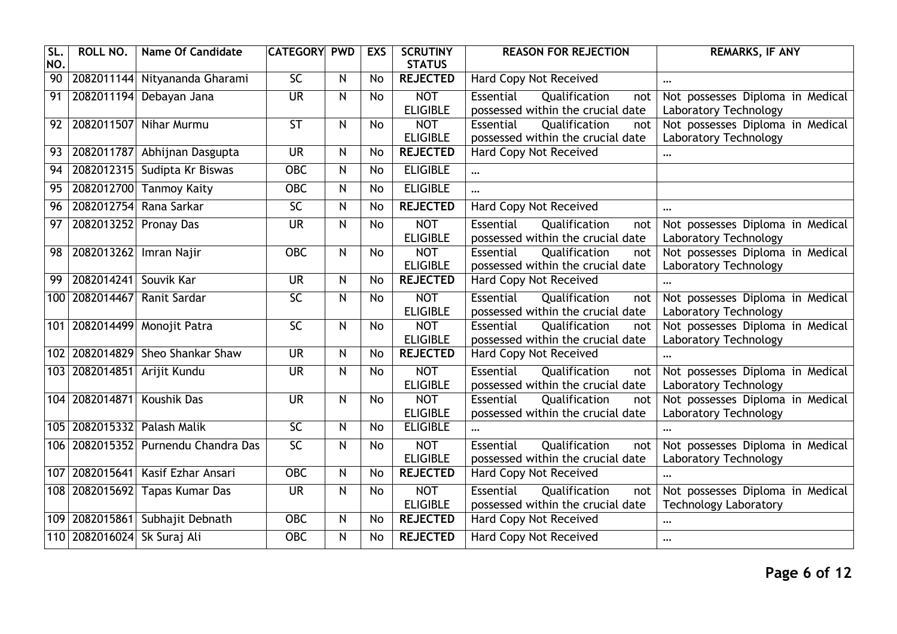| SL.<br>NO.      | <b>ROLL NO.</b>             | <b>Name Of Candidate</b>                | <b>CATEGORY</b>          | <b>PWD</b>              | <b>EXS</b>      | <b>SCRUTINY</b><br><b>STATUS</b> | <b>REASON FOR REJECTION</b>                                            | <b>REMARKS, IF ANY</b>                                           |
|-----------------|-----------------------------|-----------------------------------------|--------------------------|-------------------------|-----------------|----------------------------------|------------------------------------------------------------------------|------------------------------------------------------------------|
| $\overline{90}$ | 2082011144                  | Nityananda Gharami                      | 5 <sub>C</sub>           | $\overline{\mathsf{z}}$ | <b>No</b>       | <b>REJECTED</b>                  | <b>Hard Copy Not Received</b>                                          | $\cdots$                                                         |
| 91              | 2082011194                  | Debayan Jana                            | <b>UR</b>                | N                       | <b>No</b>       | <b>NOT</b><br><b>ELIGIBLE</b>    | Essential<br>Qualification<br>not<br>possessed within the crucial date | Not possesses Diploma in Medical<br>Laboratory Technology        |
| 92              | 2082011507                  | Nihar Murmu                             | ST                       | N                       | No              | <b>NOT</b><br><b>ELIGIBLE</b>    | Qualification<br>Essential<br>not<br>possessed within the crucial date | Not possesses Diploma in Medical<br>Laboratory Technology        |
| 93              | 2082011787                  | Abhijnan Dasgupta                       | <b>UR</b>                | N                       | No              | <b>REJECTED</b>                  | Hard Copy Not Received                                                 | $\cdots$                                                         |
| 94              |                             | 2082012315 Sudipta Kr Biswas            | $OE$                     | N                       | <b>No</b>       | <b>ELIGIBLE</b>                  |                                                                        |                                                                  |
| $\overline{95}$ | 2082012700                  | <b>Tanmoy Kaity</b>                     | $OE$                     | N                       | No              | <b>ELIGIBLE</b>                  |                                                                        |                                                                  |
| 96              | 2082012754                  | Rana Sarkar                             | $\overline{SC}$          | N                       | <b>No</b>       | <b>REJECTED</b>                  | Hard Copy Not Received                                                 | $\cdots$                                                         |
| 97              | 2082013252 Pronay Das       |                                         | <b>UR</b>                | N                       | <b>No</b>       | <b>NOT</b><br><b>ELIGIBLE</b>    | Essential<br>Qualification<br>not<br>possessed within the crucial date | Not possesses Diploma in Medical<br>Laboratory Technology        |
| 98              | 2082013262                  | Imran Najir                             | $\overline{OBC}$         | N                       | <b>No</b>       | <b>NOT</b><br><b>ELIGIBLE</b>    | Essential<br>Qualification<br>not<br>possessed within the crucial date | Not possesses Diploma in Medical<br>Laboratory Technology        |
| 99              | 2082014241                  | Souvik Kar                              | <b>UR</b>                | N                       | <b>No</b>       | <b>REJECTED</b>                  | Hard Copy Not Received                                                 |                                                                  |
| 100             | 2082014467                  | Ranit Sardar                            | $\overline{SC}$          | N                       | <b>No</b>       | <b>NOT</b><br><b>ELIGIBLE</b>    | Essential<br>Qualification<br>not<br>possessed within the crucial date | Not possesses Diploma in Medical<br>Laboratory Technology        |
|                 | 101 2082014499              | <b>Monojit Patra</b>                    | $\overline{SC}$          | N                       | No              | <b>NOT</b><br><b>ELIGIBLE</b>    | Essential<br>Qualification<br>not<br>possessed within the crucial date | Not possesses Diploma in Medical<br>Laboratory Technology        |
| 102             | 2082014829                  | <b>Sheo Shankar Shaw</b>                | <b>UR</b>                | $\overline{\mathsf{N}}$ | $\overline{No}$ | <b>REJECTED</b>                  | <b>Hard Copy Not Received</b>                                          | $\ddotsc$                                                        |
|                 |                             | 103 2082014851 Arijit Kundu             | <b>UR</b>                | N                       | <b>No</b>       | <b>NOT</b><br><b>ELIGIBLE</b>    | Essential<br>Qualification<br>not<br>possessed within the crucial date | Not possesses Diploma in Medical<br>Laboratory Technology        |
|                 | 104 2082014871              | Koushik Das                             | $\overline{\mathsf{UR}}$ | N                       | <b>No</b>       | <b>NOT</b><br><b>ELIGIBLE</b>    | Essential<br>Qualification<br>not<br>possessed within the crucial date | Not possesses Diploma in Medical<br>Laboratory Technology        |
|                 |                             | 105   2082015332   Palash Malik         | $\overline{SC}$          | $\mathsf{N}$            | <b>No</b>       | <b>ELIGIBLE</b>                  |                                                                        |                                                                  |
|                 |                             | 106   2082015352   Purnendu Chandra Das | $\overline{SC}$          | N                       | <b>No</b>       | <b>NOT</b><br><b>ELIGIBLE</b>    | Essential<br>Qualification<br>not<br>possessed within the crucial date | Not possesses Diploma in Medical<br>Laboratory Technology        |
|                 | 107 2082015641              | Kasif Ezhar Ansari                      | $OE$                     | N                       | <b>No</b>       | <b>REJECTED</b>                  | Hard Copy Not Received                                                 | $\cdots$                                                         |
| 108             | 2082015692                  | Tapas Kumar Das                         | <b>UR</b>                | N                       | <b>No</b>       | <b>NOT</b><br><b>ELIGIBLE</b>    | Essential<br>Qualification<br>not<br>possessed within the crucial date | Not possesses Diploma in Medical<br><b>Technology Laboratory</b> |
|                 |                             | 109 2082015861 Subhajit Debnath         | <b>OBC</b>               | $\overline{N}$          | $\overline{N}$  | <b>REJECTED</b>                  | Hard Copy Not Received                                                 | $\cdots$                                                         |
|                 | 110 2082016024 Sk Suraj Ali |                                         | $OE$                     | N                       | No              | <b>REJECTED</b>                  | <b>Hard Copy Not Received</b>                                          | $\cdots$                                                         |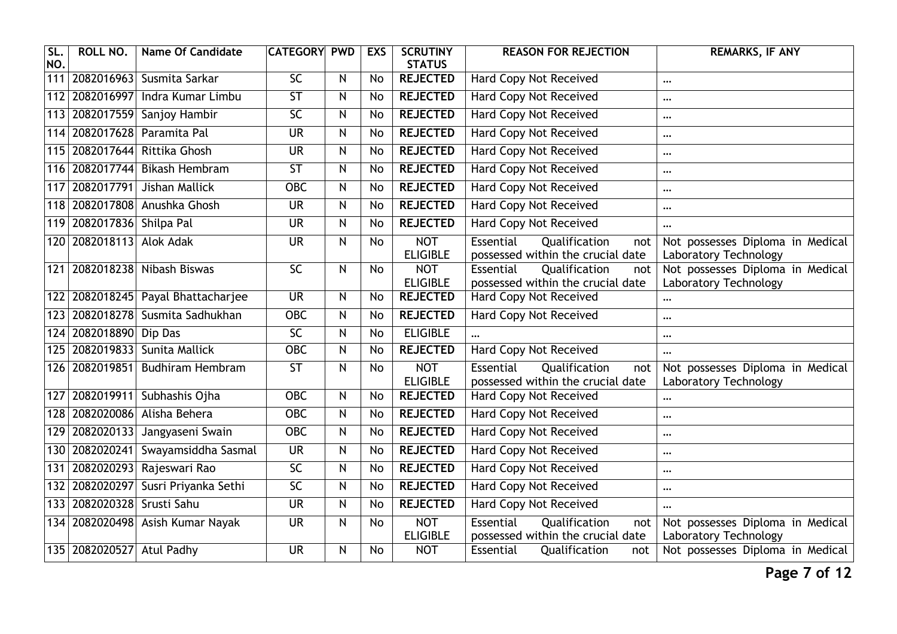| SL.<br>NO.       | <b>ROLL NO.</b>           | <b>Name Of Candidate</b>           | <b>CATEGORY</b>          | <b>PWD</b>              | <b>EXS</b>     | <b>SCRUTINY</b><br><b>STATUS</b>   | <b>REASON FOR REJECTION</b>                                                   | <b>REMARKS, IF ANY</b>                                    |
|------------------|---------------------------|------------------------------------|--------------------------|-------------------------|----------------|------------------------------------|-------------------------------------------------------------------------------|-----------------------------------------------------------|
| $\overline{111}$ |                           | 2082016963 Susmita Sarkar          | 5 <sub>C</sub>           | N                       | <b>No</b>      | <b>REJECTED</b>                    | <b>Hard Copy Not Received</b>                                                 | $\cdots$                                                  |
| 112              |                           | 2082016997 Indra Kumar Limbu       | $\overline{\mathsf{ST}}$ | N                       | <b>No</b>      | <b>REJECTED</b>                    | <b>Hard Copy Not Received</b>                                                 | $\cdots$                                                  |
| 113              | 2082017559                | Sanjoy Hambir                      | $\overline{SC}$          | N                       | <b>No</b>      | <b>REJECTED</b>                    | <b>Hard Copy Not Received</b>                                                 | $\ddotsc$                                                 |
| 114              |                           | 2082017628 Paramita Pal            | <b>UR</b>                | N                       | No             | <b>REJECTED</b>                    | <b>Hard Copy Not Received</b>                                                 | $\cdots$                                                  |
|                  | 115 2082017644            | Rittika Ghosh                      | <b>UR</b>                | N                       | <b>No</b>      | <b>REJECTED</b>                    | <b>Hard Copy Not Received</b>                                                 |                                                           |
| 116              | 2082017744                | <b>Bikash Hembram</b>              | $\overline{\mathsf{ST}}$ | N                       | No             | <b>REJECTED</b>                    | Hard Copy Not Received                                                        | $\cdots$                                                  |
| 117              | 2082017791                | Jishan Mallick                     | <b>OBC</b>               | $\overline{\mathsf{N}}$ | $\overline{N}$ | <b>REJECTED</b>                    | <b>Hard Copy Not Received</b>                                                 | $\ddotsc$                                                 |
|                  | 118 2082017808            | Anushka Ghosh                      | <b>UR</b>                | N                       | No             | <b>REJECTED</b>                    | <b>Hard Copy Not Received</b>                                                 | $\cdots$                                                  |
|                  | 119 2082017836 Shilpa Pal |                                    | $\overline{\mathsf{UR}}$ | N                       | <b>No</b>      | <b>REJECTED</b>                    | <b>Hard Copy Not Received</b>                                                 | $\cdots$                                                  |
|                  | 120 2082018113            | <b>Alok Adak</b>                   | <b>UR</b>                | N                       | <b>No</b>      | <b>NOT</b><br><b>ELIGIBLE</b>      | <b>Essential</b><br>Qualification<br>not<br>possessed within the crucial date | Not possesses Diploma in Medical<br>Laboratory Technology |
|                  |                           | 121 2082018238 Nibash Biswas       | $\overline{SC}$          | N                       | <b>No</b>      | <b>NOT</b>                         | Qualification<br>Essential<br>not                                             | Not possesses Diploma in Medical                          |
|                  |                           | 122 2082018245 Payal Bhattacharjee | <b>UR</b>                | N                       | No             | <b>ELIGIBLE</b><br><b>REJECTED</b> | possessed within the crucial date<br><b>Hard Copy Not Received</b>            | Laboratory Technology<br>                                 |
|                  | 123 2082018278            | Susmita Sadhukhan                  | $OE$                     | N                       | <b>No</b>      | <b>REJECTED</b>                    | Hard Copy Not Received                                                        | $\cdots$                                                  |
|                  | 124 2082018890 Dip Das    |                                    | $\overline{SC}$          | N                       | <b>No</b>      | <b>ELIGIBLE</b>                    |                                                                               | $\ddotsc$                                                 |
|                  | 125 2082019833            | Sunita Mallick                     | OBC                      | N                       | No             | <b>REJECTED</b>                    | Hard Copy Not Received                                                        | $\cdots$                                                  |
|                  |                           | 126 2082019851 Budhiram Hembram    | $\overline{\mathsf{ST}}$ | N                       | <b>No</b>      | <b>NOT</b><br><b>ELIGIBLE</b>      | <b>Essential</b><br>Qualification<br>not<br>possessed within the crucial date | Not possesses Diploma in Medical<br>Laboratory Technology |
| 127              |                           | 2082019911 Subhashis Ojha          | $OE$                     | N                       | <b>No</b>      | <b>REJECTED</b>                    | <b>Hard Copy Not Received</b>                                                 | $\cdots$                                                  |
|                  | 128 2082020086            | Alisha Behera                      | $OE$                     | N                       | No             | <b>REJECTED</b>                    | <b>Hard Copy Not Received</b>                                                 |                                                           |
| 129              | 2082020133                | Jangyaseni Swain                   | <b>OBC</b>               | N                       | $\overline{N}$ | <b>REJECTED</b>                    | <b>Hard Copy Not Received</b>                                                 | $\cdots$                                                  |
|                  | 130 2082020241            | Swayamsiddha Sasmal                | <b>UR</b>                | N                       | <b>No</b>      | <b>REJECTED</b>                    | <b>Hard Copy Not Received</b>                                                 | $\cdots$                                                  |
| 131              | 2082020293                | Rajeswari Rao                      | $\overline{SC}$          | N                       | No             | <b>REJECTED</b>                    | <b>Hard Copy Not Received</b>                                                 | $\ddotsc$                                                 |
|                  | 132 2082020297            | Susri Priyanka Sethi               | $\overline{SC}$          | N                       | No             | <b>REJECTED</b>                    | <b>Hard Copy Not Received</b>                                                 | $\cdots$                                                  |
|                  | 133 2082020328            | Srusti Sahu                        | <b>UR</b>                | N                       | <b>No</b>      | <b>REJECTED</b>                    | <b>Hard Copy Not Received</b>                                                 | $\ddotsc$                                                 |
|                  |                           | 134 2082020498 Asish Kumar Nayak   | <b>UR</b>                | N                       | <b>No</b>      | <b>NOT</b><br><b>ELIGIBLE</b>      | Essential<br>Qualification<br>not<br>possessed within the crucial date        | Not possesses Diploma in Medical<br>Laboratory Technology |
|                  | 135 2082020527 Atul Padhy |                                    | $\overline{\mathsf{UR}}$ | N                       | <b>No</b>      | <b>NOT</b>                         | Essential<br>Qualification<br>not                                             | Not possesses Diploma in Medical                          |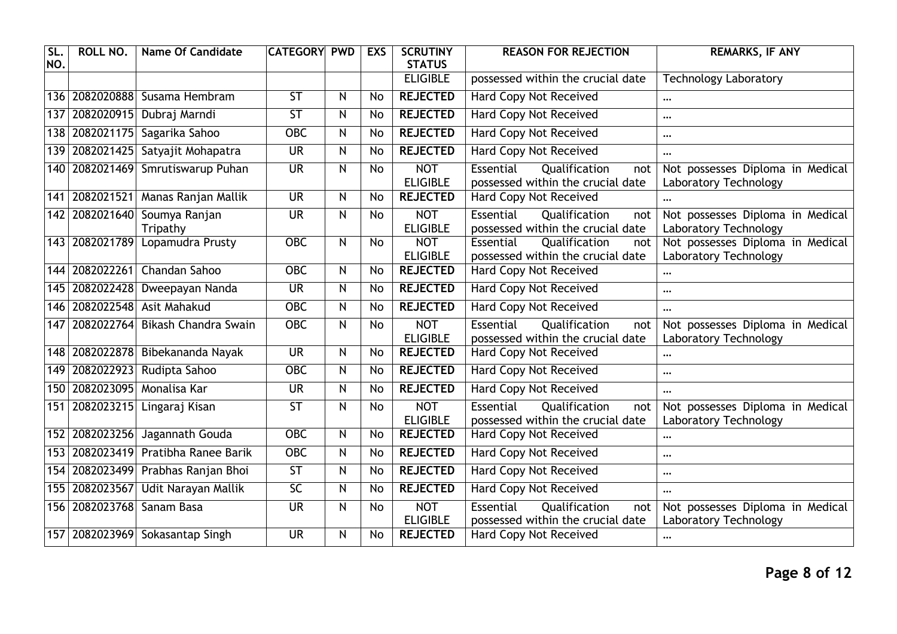| SL.<br>NO. | <b>ROLL NO.</b> | <b>Name Of Candidate</b>            | <b>CATEGORY</b>          | <b>PWD</b>   | <b>EXS</b> | <b>SCRUTINY</b><br><b>STATUS</b> | <b>REASON FOR REJECTION</b>                                            | <b>REMARKS, IF ANY</b>                                    |
|------------|-----------------|-------------------------------------|--------------------------|--------------|------------|----------------------------------|------------------------------------------------------------------------|-----------------------------------------------------------|
|            |                 |                                     |                          |              |            | <b>ELIGIBLE</b>                  | possessed within the crucial date                                      | <b>Technology Laboratory</b>                              |
|            |                 | 136 2082020888 Susama Hembram       | $\overline{\mathsf{ST}}$ | $\mathsf{N}$ | <b>No</b>  | <b>REJECTED</b>                  | <b>Hard Copy Not Received</b>                                          | $\cdots$                                                  |
| 137        | 2082020915      | Dubraj Marndi                       | $\overline{\mathsf{ST}}$ | $\mathsf{N}$ | No         | <b>REJECTED</b>                  | <b>Hard Copy Not Received</b>                                          | $\cdots$                                                  |
|            | 138 2082021175  | Sagarika Sahoo                      | <b>OBC</b>               | N            | No         | <b>REJECTED</b>                  | <b>Hard Copy Not Received</b>                                          | $\cdots$                                                  |
|            | 139 2082021425  | Satyajit Mohapatra                  | <b>UR</b>                | $\mathsf{N}$ | No         | <b>REJECTED</b>                  | Hard Copy Not Received                                                 | $\cdots$                                                  |
|            | 140 2082021469  | Smrutiswarup Puhan                  | $\overline{\mathsf{UR}}$ | $\mathsf{N}$ | <b>No</b>  | <b>NOT</b><br><b>ELIGIBLE</b>    | Essential<br>Qualification<br>not<br>possessed within the crucial date | Not possesses Diploma in Medical<br>Laboratory Technology |
| 141        |                 | 2082021521 Manas Ranjan Mallik      | <b>UR</b>                | $\mathsf{N}$ | <b>No</b>  | <b>REJECTED</b>                  | <b>Hard Copy Not Received</b>                                          |                                                           |
|            | 142 2082021640  | Soumya Ranjan<br>Tripathy           | <b>UR</b>                | $\mathsf{N}$ | <b>No</b>  | <b>NOT</b><br><b>ELIGIBLE</b>    | Essential<br>Qualification<br>not<br>possessed within the crucial date | Not possesses Diploma in Medical<br>Laboratory Technology |
|            | 143 2082021789  | Lopamudra Prusty                    | <b>OBC</b>               | $\mathsf{N}$ | <b>No</b>  | <b>NOT</b><br><b>ELIGIBLE</b>    | Qualification<br>Essential<br>not<br>possessed within the crucial date | Not possesses Diploma in Medical<br>Laboratory Technology |
|            | 144 2082022261  | Chandan Sahoo                       | <b>OBC</b>               | $\mathsf{N}$ | No         | <b>REJECTED</b>                  | Hard Copy Not Received                                                 | $\cdots$                                                  |
|            | 145 2082022428  | Dweepayan Nanda                     | <b>UR</b>                | $\mathsf{N}$ | No         | <b>REJECTED</b>                  | <b>Hard Copy Not Received</b>                                          | $\cdots$                                                  |
|            | 146 2082022548  | <b>Asit Mahakud</b>                 | $OE$                     | $\mathsf{N}$ | No         | <b>REJECTED</b>                  | <b>Hard Copy Not Received</b>                                          | $\cdots$                                                  |
|            | 147 2082022764  | Bikash Chandra Swain                | $OE$                     | N            | No         | <b>NOT</b><br><b>ELIGIBLE</b>    | Essential<br>Qualification<br>not<br>possessed within the crucial date | Not possesses Diploma in Medical<br>Laboratory Technology |
|            | 148 2082022878  | Bibekananda Nayak                   | $\overline{\mathsf{UR}}$ | $\mathsf{N}$ | No         | <b>REJECTED</b>                  | Hard Copy Not Received                                                 | $\cdots$                                                  |
| 149        | 2082022923      | Rudipta Sahoo                       | $\overline{OBC}$         | $\mathsf{N}$ | No         | <b>REJECTED</b>                  | Hard Copy Not Received                                                 | $\cdots$                                                  |
|            | 150 2082023095  | Monalisa Kar                        | <b>UR</b>                | $\mathsf{N}$ | No         | <b>REJECTED</b>                  | <b>Hard Copy Not Received</b>                                          | $\cdots$                                                  |
|            | 151 2082023215  | Lingaraj Kisan                      | $\overline{\mathsf{ST}}$ | N            | No         | <b>NOT</b><br><b>ELIGIBLE</b>    | Essential<br>Qualification<br>not<br>possessed within the crucial date | Not possesses Diploma in Medical<br>Laboratory Technology |
|            | 152 2082023256  | Jagannath Gouda                     | <b>OBC</b>               | $\mathsf{N}$ | No         | <b>REJECTED</b>                  | Hard Copy Not Received                                                 | $\ddotsc$                                                 |
|            | 153 2082023419  | Pratibha Ranee Barik                | <b>OBC</b>               | $\mathsf{N}$ | No         | <b>REJECTED</b>                  | <b>Hard Copy Not Received</b>                                          | $\cdots$                                                  |
|            | 154 2082023499  | Prabhas Ranjan Bhoi                 | $\overline{\mathsf{ST}}$ | $\mathsf{N}$ | <b>No</b>  | <b>REJECTED</b>                  | <b>Hard Copy Not Received</b>                                          | $\cdots$                                                  |
|            | 155 2082023567  | Udit Narayan Mallik                 | $\overline{SC}$          | $\mathsf{N}$ | No         | <b>REJECTED</b>                  | <b>Hard Copy Not Received</b>                                          | $\ddotsc$                                                 |
|            | 156 2082023768  | Sanam Basa                          | <b>UR</b>                | N            | No         | <b>NOT</b><br><b>ELIGIBLE</b>    | Essential<br>Qualification<br>not<br>possessed within the crucial date | Not possesses Diploma in Medical<br>Laboratory Technology |
|            |                 | 157   2082023969   Sokasantap Singh | <b>UR</b>                | N            | No         | <b>REJECTED</b>                  | Hard Copy Not Received                                                 | $\cdots$                                                  |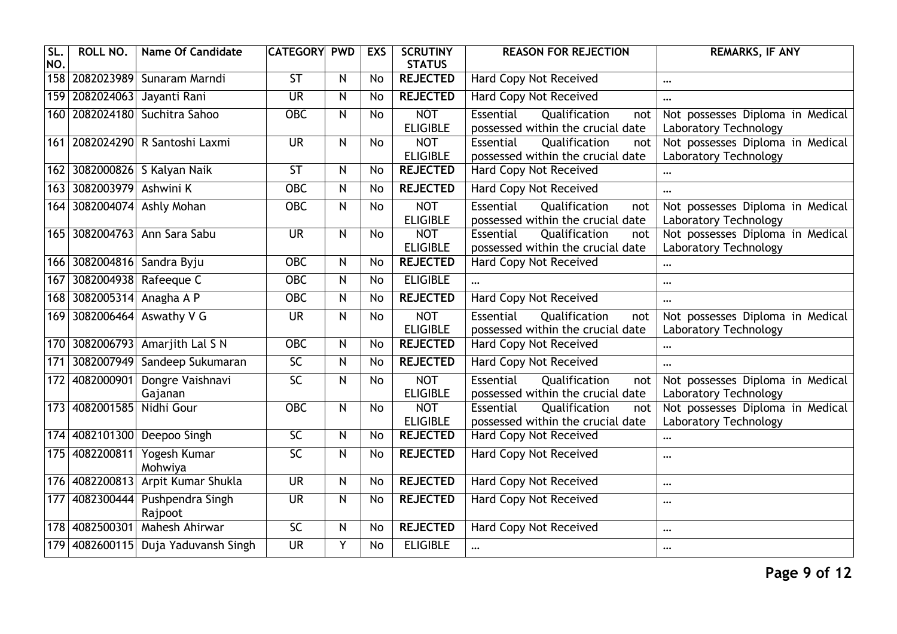| SL.<br>NO. | ROLL NO.                 | <b>Name Of Candidate</b>            | <b>CATEGORY</b>          | <b>PWD</b>              | <b>EXS</b>     | <b>SCRUTINY</b><br><b>STATUS</b> | <b>REASON FOR REJECTION</b>                                                   | <b>REMARKS, IF ANY</b>                                    |
|------------|--------------------------|-------------------------------------|--------------------------|-------------------------|----------------|----------------------------------|-------------------------------------------------------------------------------|-----------------------------------------------------------|
|            |                          | 158   2082023989   Sunaram Marndi   | $\overline{\mathsf{ST}}$ | $\mathsf{N}$            | <b>No</b>      | <b>REJECTED</b>                  | <b>Hard Copy Not Received</b>                                                 | $\cdots$                                                  |
|            | 159 2082024063           | Jayanti Rani                        | $\overline{\mathsf{UR}}$ | $\mathsf{N}$            | <b>No</b>      | <b>REJECTED</b>                  | <b>Hard Copy Not Received</b>                                                 | $\cdots$                                                  |
|            | 160 2082024180           | Suchitra Sahoo                      | $OE$                     | $\mathsf{N}$            | <b>No</b>      | <b>NOT</b><br><b>ELIGIBLE</b>    | Essential<br>Qualification<br>not<br>possessed within the crucial date        | Not possesses Diploma in Medical<br>Laboratory Technology |
|            |                          | 161   2082024290   R Santoshi Laxmi | $\overline{\mathsf{UR}}$ | N                       | No             | <b>NOT</b><br><b>ELIGIBLE</b>    | Essential<br>Qualification<br>not<br>possessed within the crucial date        | Not possesses Diploma in Medical<br>Laboratory Technology |
|            |                          | 162 3082000826 S Kalyan Naik        | $\overline{\mathsf{ST}}$ | ${\sf N}$               | <b>No</b>      | <b>REJECTED</b>                  | <b>Hard Copy Not Received</b>                                                 |                                                           |
|            | 163 3082003979 Ashwini K |                                     | <b>OBC</b>               | $\overline{\mathsf{N}}$ | $\overline{N}$ | <b>REJECTED</b>                  | <b>Hard Copy Not Received</b>                                                 | $\ddotsc$                                                 |
|            |                          | 164 3082004074 Ashly Mohan          | <b>OBC</b>               | $\mathsf{N}$            | <b>No</b>      | <b>NOT</b><br><b>ELIGIBLE</b>    | Essential<br>Qualification<br>not<br>possessed within the crucial date        | Not possesses Diploma in Medical<br>Laboratory Technology |
|            |                          | 165 3082004763 Ann Sara Sabu        | <b>UR</b>                | $\mathsf{N}$            | <b>No</b>      | <b>NOT</b><br><b>ELIGIBLE</b>    | Qualification<br>Essential<br>not<br>possessed within the crucial date        | Not possesses Diploma in Medical<br>Laboratory Technology |
|            | 166 3082004816           | Sandra Byju                         | $OE$                     | $\mathsf{N}$            | No             | <b>REJECTED</b>                  | Hard Copy Not Received                                                        | $\cdots$                                                  |
| 167        | 3082004938               | Rafeeque C                          | <b>OBC</b>               | ${\sf N}$               | <b>No</b>      | <b>ELIGIBLE</b>                  |                                                                               | $\cdots$                                                  |
|            | 168 3082005314           | Anagha A P                          | <b>OBC</b>               | $\mathsf{N}$            | No             | <b>REJECTED</b>                  | <b>Hard Copy Not Received</b>                                                 | $\ddotsc$                                                 |
|            | 169 3082006464           | Aswathy V G                         | <b>UR</b>                | $\overline{\mathsf{z}}$ | <b>No</b>      | <b>NOT</b><br><b>ELIGIBLE</b>    | <b>Essential</b><br>Qualification<br>not<br>possessed within the crucial date | Not possesses Diploma in Medical<br>Laboratory Technology |
|            | 170 3082006793           | Amarjith Lal S N                    | OBC                      | $\overline{N}$          | $\overline{N}$ | <b>REJECTED</b>                  | <b>Hard Copy Not Received</b>                                                 | $\cdots$                                                  |
| $171$      | 3082007949               | Sandeep Sukumaran                   | $\overline{SC}$          | ${\sf N}$               | No             | <b>REJECTED</b>                  | <b>Hard Copy Not Received</b>                                                 | $\cdots$                                                  |
| 172        | 4082000901               | Dongre Vaishnavi<br>Gajanan         | $\overline{SC}$          | $\mathsf{N}$            | <b>No</b>      | <b>NOT</b><br><b>ELIGIBLE</b>    | Essential<br>Qualification<br>not<br>possessed within the crucial date        | Not possesses Diploma in Medical<br>Laboratory Technology |
|            | 173 4082001585           | Nidhi Gour                          | <b>OBC</b>               | $\mathsf{N}$            | <b>No</b>      | <b>NOT</b><br><b>ELIGIBLE</b>    | Qualification<br>Essential<br>not<br>possessed within the crucial date        | Not possesses Diploma in Medical<br>Laboratory Technology |
| 174        | 4082101300               | Deepoo Singh                        | $\overline{SC}$          | $\mathsf{N}$            | <b>No</b>      | <b>REJECTED</b>                  | Hard Copy Not Received                                                        | $\cdots$                                                  |
|            | 175 4082200811           | Yogesh Kumar<br>Mohwiya             | 5<                       | $\mathsf{N}$            | No             | <b>REJECTED</b>                  | <b>Hard Copy Not Received</b>                                                 | $\ddotsc$                                                 |
|            | 176 4082200813           | Arpit Kumar Shukla                  | <b>UR</b>                | $\mathsf{N}$            | <b>No</b>      | <b>REJECTED</b>                  | <b>Hard Copy Not Received</b>                                                 | $\cdots$                                                  |
| 177        | 4082300444               | Pushpendra Singh<br>Rajpoot         | $\overline{\mathsf{UR}}$ | N                       | No             | <b>REJECTED</b>                  | <b>Hard Copy Not Received</b>                                                 |                                                           |
|            | 178 4082500301           | Mahesh Ahirwar                      | $\overline{SC}$          | $\mathsf{N}$            | No             | <b>REJECTED</b>                  | <b>Hard Copy Not Received</b>                                                 | $\cdots$                                                  |
| 179        |                          | 4082600115 Duja Yaduvansh Singh     | $\overline{\mathsf{UR}}$ | Y                       | <b>No</b>      | <b>ELIGIBLE</b>                  | $\ddotsc$                                                                     | $\cdots$                                                  |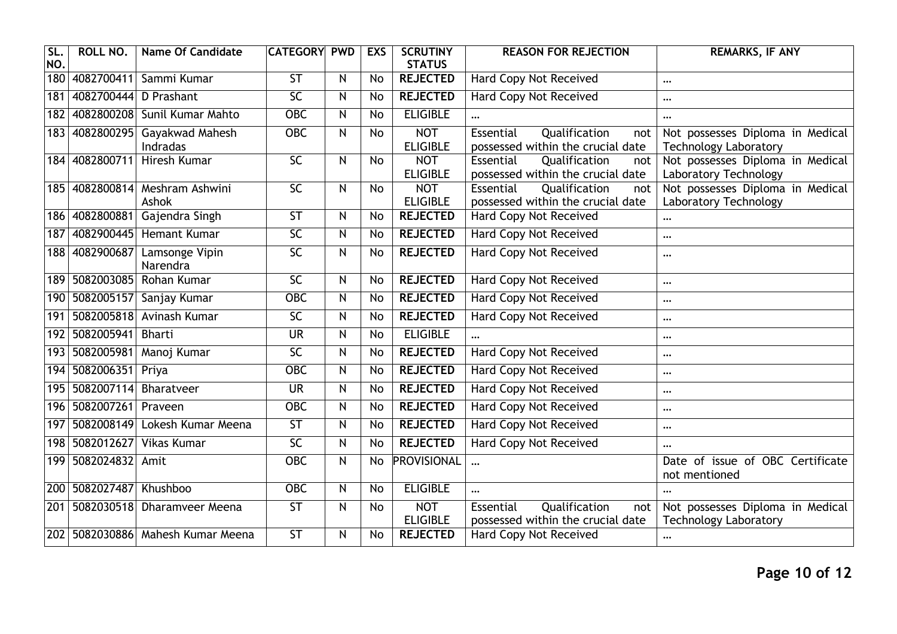| SL.<br>NO.       | <b>ROLL NO.</b>       | <b>Name Of Candidate</b>                | <b>CATEGORY</b>          | <b>PWD</b>     | <b>EXS</b>     | <b>SCRUTINY</b><br><b>STATUS</b> | <b>REASON FOR REJECTION</b>                                            | <b>REMARKS, IF ANY</b>                                           |
|------------------|-----------------------|-----------------------------------------|--------------------------|----------------|----------------|----------------------------------|------------------------------------------------------------------------|------------------------------------------------------------------|
| 180              |                       | 4082700411 Sammi Kumar                  | $\overline{\mathsf{ST}}$ | $\mathsf{N}$   | <b>No</b>      | <b>REJECTED</b>                  | <b>Hard Copy Not Received</b>                                          | $\cdots$                                                         |
| 181              | 4082700444 D Prashant |                                         | $\overline{SC}$          | $\overline{N}$ | <b>No</b>      | <b>REJECTED</b>                  | Hard Copy Not Received                                                 | $\cdots$                                                         |
| 182              |                       | 4082800208 Sunil Kumar Mahto            | $\overline{OBC}$         | $\mathsf{N}$   | <b>No</b>      | <b>ELIGIBLE</b>                  |                                                                        | $\cdots$                                                         |
|                  | 183 4082800295        | Gayakwad Mahesh<br>Indradas             | <b>OBC</b>               | N              | No             | <b>NOT</b><br><b>ELIGIBLE</b>    | Essential<br>Qualification<br>not<br>possessed within the crucial date | Not possesses Diploma in Medical<br><b>Technology Laboratory</b> |
|                  | 184 4082800711        | <b>Hiresh Kumar</b>                     | $\overline{SC}$          | N              | <b>No</b>      | <b>NOT</b><br><b>ELIGIBLE</b>    | Qualification<br>Essential<br>not<br>possessed within the crucial date | Not possesses Diploma in Medical<br>Laboratory Technology        |
|                  |                       | 185 4082800814 Meshram Ashwini<br>Ashok | $\overline{SC}$          | N              | <b>No</b>      | <b>NOT</b><br><b>ELIGIBLE</b>    | Qualification<br>Essential<br>not<br>possessed within the crucial date | Not possesses Diploma in Medical<br>Laboratory Technology        |
|                  |                       | 186 4082800881 Gajendra Singh           | $\overline{\mathsf{ST}}$ | N              | <b>No</b>      | <b>REJECTED</b>                  | Hard Copy Not Received                                                 | $\cdots$                                                         |
| $\overline{187}$ |                       | 4082900445 Hemant Kumar                 | $\overline{SC}$          | N              | <b>No</b>      | <b>REJECTED</b>                  | <b>Hard Copy Not Received</b>                                          | $\cdots$                                                         |
| 188              | 4082900687            | Lamsonge Vipin<br>Narendra              | $\overline{SC}$          | N              | <b>No</b>      | <b>REJECTED</b>                  | Hard Copy Not Received                                                 | $\cdots$                                                         |
|                  |                       | 189 5082003085 Rohan Kumar              | $\overline{SC}$          | N              | No             | <b>REJECTED</b>                  | Hard Copy Not Received                                                 | $\cdots$                                                         |
| 190              | 5082005157            | Sanjay Kumar                            | $ORC$                    | N              | $\overline{N}$ | <b>REJECTED</b>                  | <b>Hard Copy Not Received</b>                                          | $\cdots$                                                         |
|                  |                       | 191 5082005818 Avinash Kumar            | $\overline{SC}$          | $\mathsf{N}$   | No             | <b>REJECTED</b>                  | <b>Hard Copy Not Received</b>                                          | $\cdots$                                                         |
|                  | 192 5082005941        | Bharti                                  | <b>UR</b>                | N              | No             | <b>ELIGIBLE</b>                  |                                                                        | $\cdots$                                                         |
|                  | 193 5082005981        | Manoj Kumar                             | 5<                       | N              | No             | <b>REJECTED</b>                  | Hard Copy Not Received                                                 | $\cdots$                                                         |
|                  | 194 5082006351 Priya  |                                         | $OE$                     | N              | <b>No</b>      | <b>REJECTED</b>                  | Hard Copy Not Received                                                 | $\cdots$                                                         |
|                  | 195 5082007114        | Bharatveer                              | <b>UR</b>                | N              | No             | <b>REJECTED</b>                  | Hard Copy Not Received                                                 | $\cdots$                                                         |
|                  | 196 5082007261        | Praveen                                 | $OE$                     | N              | No             | <b>REJECTED</b>                  | <b>Hard Copy Not Received</b>                                          | $\cdots$                                                         |
|                  |                       | 197 5082008149 Lokesh Kumar Meena       | $\overline{\mathsf{ST}}$ | $\mathsf{N}$   | No             | <b>REJECTED</b>                  | Hard Copy Not Received                                                 | $\cdots$                                                         |
|                  | 198 5082012627        | Vikas Kumar                             | $\overline{SC}$          | $\mathsf{N}$   | No             | <b>REJECTED</b>                  | <b>Hard Copy Not Received</b>                                          | $\cdots$                                                         |
|                  | 199 5082024832        | Amit                                    | <b>OBC</b>               | N              | No             | <b>PROVISIONAL</b>               |                                                                        | Date of issue of OBC Certificate<br>not mentioned                |
| 200              | 5082027487            | Khushboo                                | $\overline{OBC}$         | $\mathsf{N}$   | <b>No</b>      | <b>ELIGIBLE</b>                  | $\cdots$                                                               |                                                                  |
|                  |                       | 201   5082030518   Dharamveer Meena     | $\overline{\mathsf{ST}}$ | N              | No             | <b>NOT</b><br><b>ELIGIBLE</b>    | Qualification<br>Essential<br>not<br>possessed within the crucial date | Not possesses Diploma in Medical<br><b>Technology Laboratory</b> |
|                  |                       | 202   5082030886   Mahesh Kumar Meena   | $\overline{\mathsf{ST}}$ | N              | <b>No</b>      | <b>REJECTED</b>                  | <b>Hard Copy Not Received</b>                                          | $\cdots$                                                         |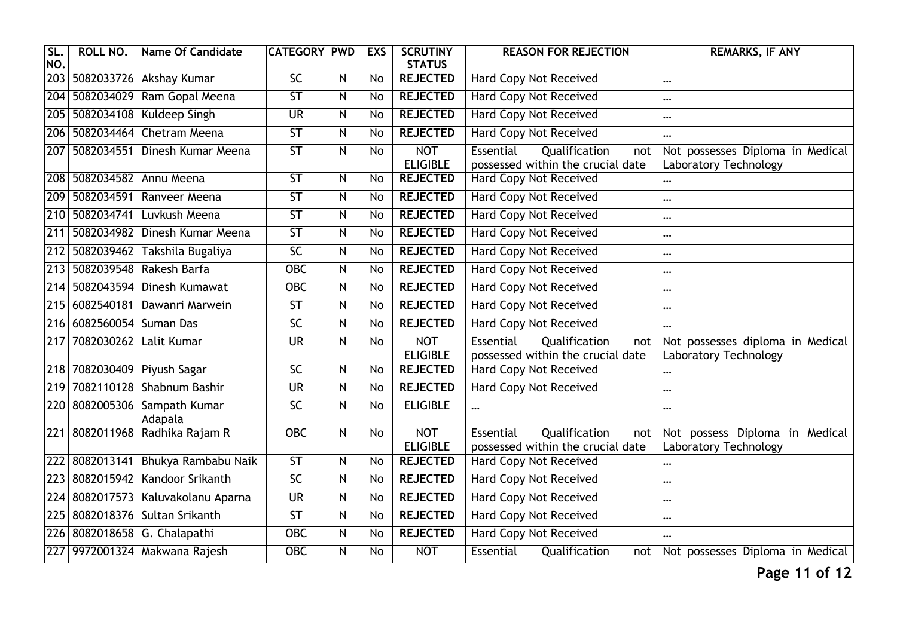| SL.<br>NO.       | <b>ROLL NO.</b> | <b>Name Of Candidate</b>                | <b>CATEGORY</b>          | <b>PWD</b>              | <b>EXS</b>      | <b>SCRUTINY</b><br><b>STATUS</b> | <b>REASON FOR REJECTION</b>                                            | <b>REMARKS, IF ANY</b>                                    |
|------------------|-----------------|-----------------------------------------|--------------------------|-------------------------|-----------------|----------------------------------|------------------------------------------------------------------------|-----------------------------------------------------------|
|                  |                 | 203 5082033726 Akshay Kumar             | SC                       | N                       | No              | <b>REJECTED</b>                  | <b>Hard Copy Not Received</b>                                          | $\cdots$                                                  |
| $\overline{204}$ | 5082034029      | Ram Gopal Meena                         | $\overline{\mathsf{ST}}$ | $\overline{N}$          | <b>No</b>       | <b>REJECTED</b>                  | <b>Hard Copy Not Received</b>                                          |                                                           |
| 205              | 5082034108      | Kuldeep Singh                           | <b>UR</b>                | $\mathsf{N}$            | <b>No</b>       | <b>REJECTED</b>                  | <b>Hard Copy Not Received</b>                                          | $\cdots$                                                  |
| 206              | 5082034464      | Chetram Meena                           | ST                       | N                       | <b>No</b>       | <b>REJECTED</b>                  | <b>Hard Copy Not Received</b>                                          | $\ddotsc$                                                 |
|                  | 207 5082034551  | Dinesh Kumar Meena                      | $\overline{\mathsf{ST}}$ | N                       | No              | <b>NOT</b><br><b>ELIGIBLE</b>    | Essential<br>Qualification<br>not<br>possessed within the crucial date | Not possesses Diploma in Medical<br>Laboratory Technology |
|                  | 208 5082034582  | Annu Meena                              | ST                       | $\mathsf{N}$            | <b>No</b>       | <b>REJECTED</b>                  | <b>Hard Copy Not Received</b>                                          |                                                           |
|                  | 209 5082034591  | Ranveer Meena                           | $\overline{\mathsf{ST}}$ | ${\sf N}$               | <b>No</b>       | <b>REJECTED</b>                  | <b>Hard Copy Not Received</b>                                          | $\ddotsc$                                                 |
| 210              | 5082034741      | Luvkush Meena                           | $\overline{\mathsf{ST}}$ | N                       | <b>No</b>       | <b>REJECTED</b>                  | <b>Hard Copy Not Received</b>                                          | $\cdots$                                                  |
| 211              | 5082034982      | Dinesh Kumar Meena                      | 5T                       | N                       | No              | <b>REJECTED</b>                  | <b>Hard Copy Not Received</b>                                          |                                                           |
| 212              | 5082039462      | Takshila Bugaliya                       | $\overline{SC}$          | N                       | <b>No</b>       | <b>REJECTED</b>                  | <b>Hard Copy Not Received</b>                                          | $\ddotsc$                                                 |
|                  | 213 5082039548  | Rakesh Barfa                            | $OE$                     | ${\sf N}$               | No              | <b>REJECTED</b>                  | <b>Hard Copy Not Received</b>                                          |                                                           |
|                  | 214 5082043594  | Dinesh Kumawat                          | <b>OBC</b>               | N                       | <b>No</b>       | <b>REJECTED</b>                  | <b>Hard Copy Not Received</b>                                          | $\cdots$                                                  |
|                  | 215 6082540181  | Dawanri Marwein                         | ST                       | $\overline{\mathbf{N}}$ | $\overline{N}$  | <b>REJECTED</b>                  | <b>Hard Copy Not Received</b>                                          | $\cdots$                                                  |
| 216              | 6082560054      | Suman Das                               | $\overline{SC}$          | $\mathsf{N}$            | <b>No</b>       | <b>REJECTED</b>                  | Hard Copy Not Received                                                 |                                                           |
|                  | 217 7082030262  | Lalit Kumar                             | <b>UR</b>                | N                       | <b>No</b>       | <b>NOT</b><br><b>ELIGIBLE</b>    | Qualification<br>Essential<br>not<br>possessed within the crucial date | Not possesses diploma in Medical<br>Laboratory Technology |
| 218              | 7082030409      | Piyush Sagar                            | $\overline{SC}$          | N                       | <b>No</b>       | <b>REJECTED</b>                  | <b>Hard Copy Not Received</b>                                          |                                                           |
| 219              | 7082110128      | Shabnum Bashir                          | $\overline{\mathsf{UR}}$ | N                       | <b>No</b>       | <b>REJECTED</b>                  | <b>Hard Copy Not Received</b>                                          | $\ddotsc$                                                 |
|                  |                 | 220 8082005306 Sampath Kumar<br>Adapala | SC                       | N                       | No              | <b>ELIGIBLE</b>                  | $\cdots$                                                               | $\cdots$                                                  |
|                  | 221 8082011968  | Radhika Rajam R                         | $OE$                     | N                       | No              | <b>NOT</b><br><b>ELIGIBLE</b>    | Qualification<br>Essential<br>not<br>possessed within the crucial date | Not possess Diploma in Medical<br>Laboratory Technology   |
| 222              | 8082013141      | Bhukya Rambabu Naik                     | ST                       | N                       | <b>No</b>       | <b>REJECTED</b>                  | <b>Hard Copy Not Received</b>                                          |                                                           |
| $\overline{223}$ | 8082015942      | Kandoor Srikanth                        | $\overline{SC}$          | N                       | <b>No</b>       | <b>REJECTED</b>                  | Hard Copy Not Received                                                 | $\cdots$                                                  |
| 224              | 8082017573      | Kaluvakolanu Aparna                     | <b>UR</b>                | N                       | <b>No</b>       | <b>REJECTED</b>                  | Hard Copy Not Received                                                 | $\cdots$                                                  |
| 225              |                 | 8082018376 Sultan Srikanth              | 5T                       | N                       | $\overline{No}$ | <b>REJECTED</b>                  | <b>Hard Copy Not Received</b>                                          | $\ddotsc$                                                 |
|                  |                 | 226 8082018658 G. Chalapathi            | <b>OBC</b>               | ${\sf N}$               | No              | <b>REJECTED</b>                  | <b>Hard Copy Not Received</b>                                          | $\cdots$                                                  |
|                  |                 | 227 9972001324 Makwana Rajesh           | $OE$                     | N                       | <b>No</b>       | <b>NOT</b>                       | Essential<br>Qualification<br>not                                      | Not possesses Diploma in Medical                          |